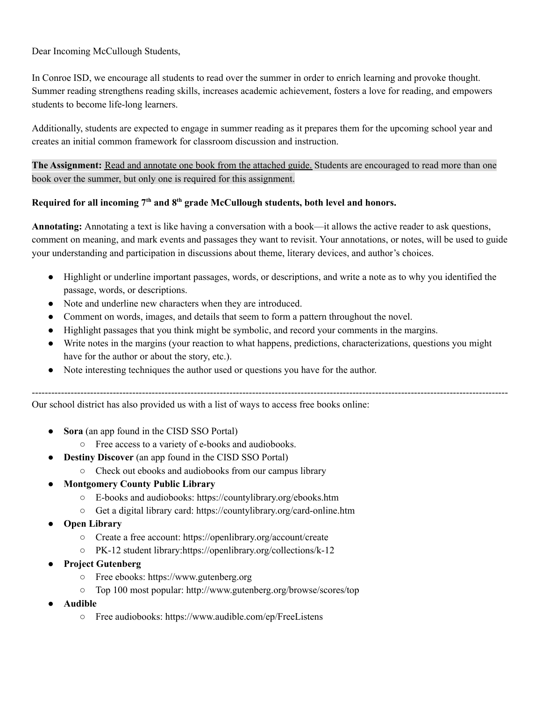Dear Incoming McCullough Students,

In Conroe ISD, we encourage all students to read over the summer in order to enrich learning and provoke thought. Summer reading strengthens reading skills, increases academic achievement, fosters a love for reading, and empowers students to become life-long learners.

Additionally, students are expected to engage in summer reading as it prepares them for the upcoming school year and creates an initial common framework for classroom discussion and instruction.

**The Assignment:** Read and annotate one book from the attached guide. Students are encouraged to read more than one book over the summer, but only one is required for this assignment.

## **Required for all incoming 7 th and 8 th grade McCullough students, both level and honors.**

**Annotating:** Annotating a text is like having a conversation with a book—it allows the active reader to ask questions, comment on meaning, and mark events and passages they want to revisit. Your annotations, or notes, will be used to guide your understanding and participation in discussions about theme, literary devices, and author's choices.

- Highlight or underline important passages, words, or descriptions, and write a note as to why you identified the passage, words, or descriptions.
- Note and underline new characters when they are introduced.
- Comment on words, images, and details that seem to form a pattern throughout the novel.
- Highlight passages that you think might be symbolic, and record your comments in the margins.
- Write notes in the margins (your reaction to what happens, predictions, characterizations, questions you might have for the author or about the story, etc.).
- Note interesting techniques the author used or questions you have for the author.

Our school district has also provided us with a list of ways to access free books online:

- **Sora** (an app found in the CISD SSO Portal)
	- Free access to a variety of e-books and audiobooks.
- **Destiny Discover** (an app found in the CISD SSO Portal)
	- Check out ebooks and audiobooks from our campus library

## **● Montgomery County Public Library**

- E-books and audiobooks: https://countylibrary.org/ebooks.htm
- Get a digital library card: https://countylibrary.org/card-online.htm
- **● Open Library**
	- Create a free account: https://openlibrary.org/account/create
	- PK-12 student library:https://openlibrary.org/collections/k-12
- **● Project Gutenberg**
	- Free ebooks: https://www.gutenberg.org
	- Top 100 most popular: http://www.gutenberg.org/browse/scores/top
- **● Audible**
	- Free audiobooks: https://www.audible.com/ep/FreeListens